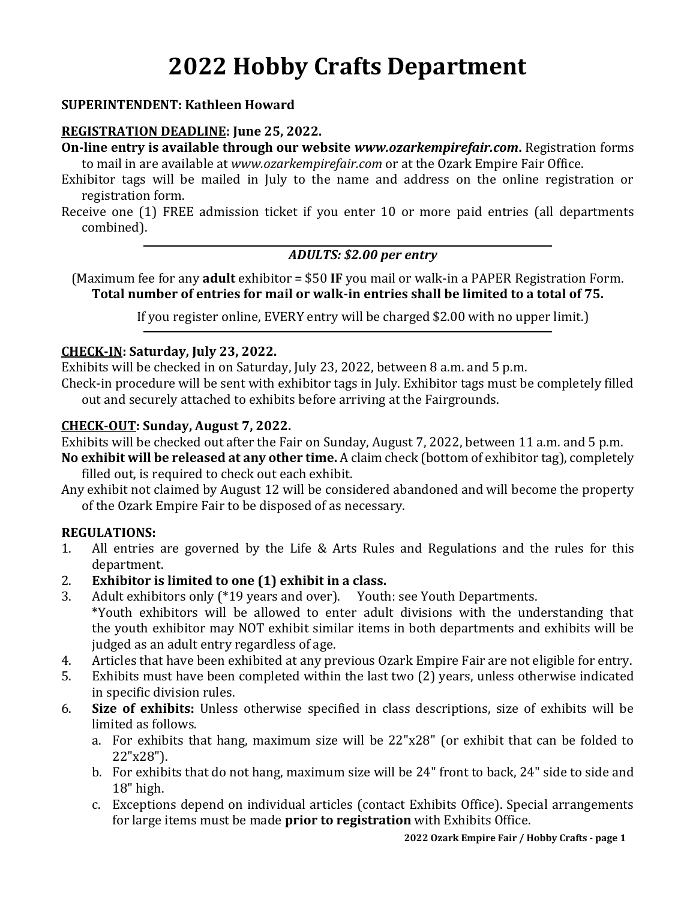# **2022 Hobby Crafts Department**

#### **SUPERINTENDENT: Kathleen Howard**

#### **REGISTRATION DEADLINE: June 25, 2022.**

**On-line entry is available through our website** *www.ozarkempirefair.com***.** Registration forms to mail in are available at *www.ozarkempirefair.com* or at the Ozark Empire Fair Office.

Exhibitor tags will be mailed in July to the name and address on the online registration or registration form.

Receive one (1) FREE admission ticket if you enter 10 or more paid entries (all departments combined).

#### *ADULTS: \$2.00 per entry*

(Maximum fee for any **adult** exhibitor = \$50 **IF** you mail or walk-in a PAPER Registration Form. **Total number of entries for mail or walk-in entries shall be limited to a total of 75.**

If you register online, EVERY entry will be charged \$2.00 with no upper limit.)

#### **CHECK-IN: Saturday, July 23, 2022.**

Exhibits will be checked in on Saturday, July 23, 2022, between 8 a.m. and 5 p.m.

Check-in procedure will be sent with exhibitor tags in July. Exhibitor tags must be completely filled out and securely attached to exhibits before arriving at the Fairgrounds.

#### **CHECK-OUT: Sunday, August 7, 2022.**

Exhibits will be checked out after the Fair on Sunday, August 7, 2022, between 11 a.m. and 5 p.m.

**No exhibit will be released at any other time.** A claim check (bottom of exhibitor tag), completely filled out, is required to check out each exhibit.

Any exhibit not claimed by August 12 will be considered abandoned and will become the property of the Ozark Empire Fair to be disposed of as necessary.

#### **REGULATIONS:**

- 1. All entries are governed by the Life & Arts Rules and Regulations and the rules for this department.
- 2. **Exhibitor is limited to one (1) exhibit in a class.**
- 3. Adult exhibitors only (\*19 years and over). Youth: see Youth Departments.
- \*Youth exhibitors will be allowed to enter adult divisions with the understanding that the youth exhibitor may NOT exhibit similar items in both departments and exhibits will be judged as an adult entry regardless of age.
- 4. Articles that have been exhibited at any previous Ozark Empire Fair are not eligible for entry.
- 5. Exhibits must have been completed within the last two (2) years, unless otherwise indicated in specific division rules.
- 6. **Size of exhibits:** Unless otherwise specified in class descriptions, size of exhibits will be limited as follows.
	- a. For exhibits that hang, maximum size will be 22"x28" (or exhibit that can be folded to 22"x28").
	- b. For exhibits that do not hang, maximum size will be 24" front to back, 24" side to side and 18" high.
	- c. Exceptions depend on individual articles (contact Exhibits Office). Special arrangements for large items must be made **prior to registration** with Exhibits Office.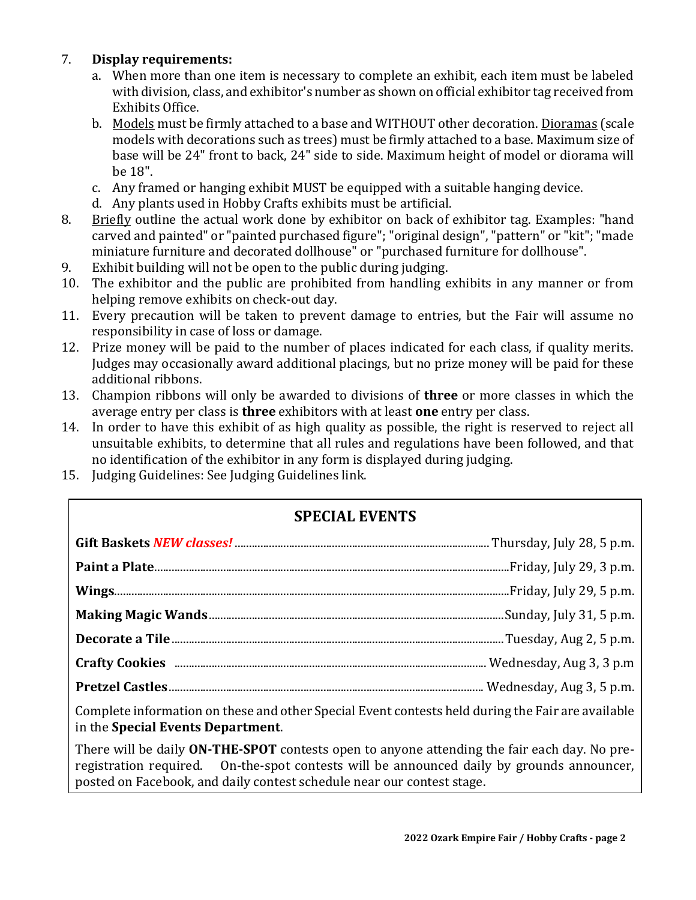#### 7. **Display requirements:**

- a. When more than one item is necessary to complete an exhibit, each item must be labeled with division, class, and exhibitor's number as shown on official exhibitor tag received from Exhibits Office.
- b. Models must be firmly attached to a base and WITHOUT other decoration. Dioramas (scale models with decorations such as trees) must be firmly attached to a base. Maximum size of base will be 24" front to back, 24" side to side. Maximum height of model or diorama will be 18".
- c. Any framed or hanging exhibit MUST be equipped with a suitable hanging device.
- d. Any plants used in Hobby Crafts exhibits must be artificial.
- 8. Briefly outline the actual work done by exhibitor on back of exhibitor tag. Examples: "hand carved and painted" or "painted purchased figure"; "original design", "pattern" or "kit"; "made miniature furniture and decorated dollhouse" or "purchased furniture for dollhouse".
- 9. Exhibit building will not be open to the public during judging.
- 10. The exhibitor and the public are prohibited from handling exhibits in any manner or from helping remove exhibits on check-out day.
- 11. Every precaution will be taken to prevent damage to entries, but the Fair will assume no responsibility in case of loss or damage.
- 12. Prize money will be paid to the number of places indicated for each class, if quality merits. Judges may occasionally award additional placings, but no prize money will be paid for these additional ribbons.
- 13. Champion ribbons will only be awarded to divisions of **three** or more classes in which the average entry per class is **three** exhibitors with at least **one** entry per class.
- 14. In order to have this exhibit of as high quality as possible, the right is reserved to reject all unsuitable exhibits, to determine that all rules and regulations have been followed, and that no identification of the exhibitor in any form is displayed during judging.
- 15. Judging Guidelines: See Judging Guidelines link.

# **SPECIAL EVENTS**

| Complete information on these and other Special Event contests held during the Fair are available<br>in the Special Events Department.                                                                                                                              |  |
|---------------------------------------------------------------------------------------------------------------------------------------------------------------------------------------------------------------------------------------------------------------------|--|
| There will be daily ON-THE-SPOT contests open to anyone attending the fair each day. No pre-<br>registration required. On-the-spot contests will be announced daily by grounds announcer,<br>posted on Facebook, and daily contest schedule near our contest stage. |  |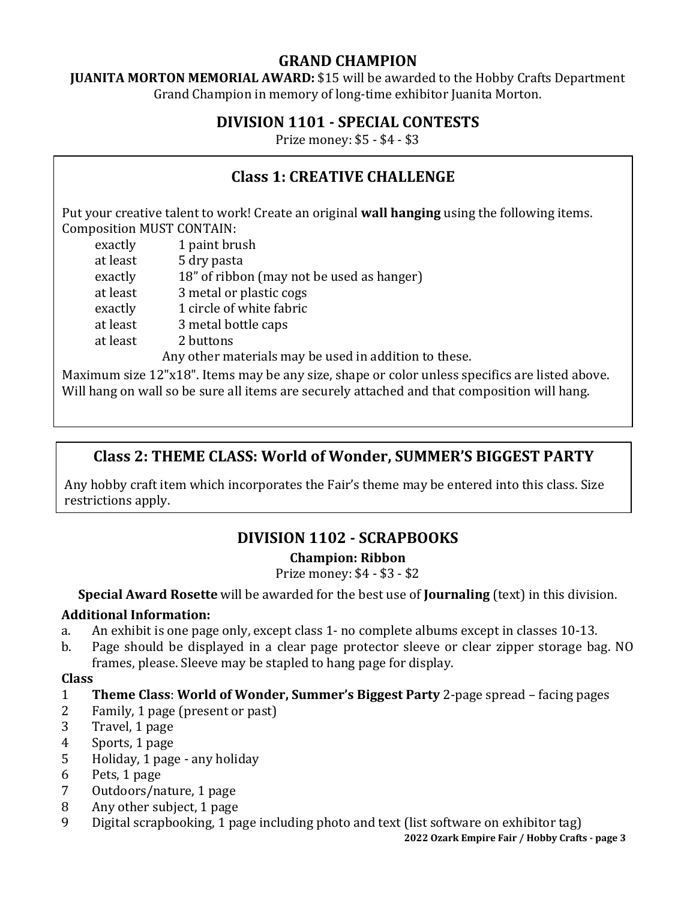# **GRAND CHAMPION**

**JUANITA MORTON MEMORIAL AWARD:** \$15 will be awarded to the Hobby Crafts Department Grand Champion in memory of long-time exhibitor Juanita Morton.

# **DIVISION 1101 - SPECIAL CONTESTS**

Prize money: \$5 - \$4 - \$3

# **Class 1: CREATIVE CHALLENGE**

Put your creative talent to work! Create an original **wall hanging** using the following items. Composition MUST CONTAIN:

exactly 1 paint brush at least 5 dry pasta exactly 18" of ribbon (may not be used as hanger) at least 3 metal or plastic cogs exactly 1 circle of white fabric at least 3 metal bottle caps at least 2 buttons

 Any other materials may be used in addition to these. Maximum size 12"x18". Items may be any size, shape or color unless specifics are listed above. Will hang on wall so be sure all items are securely attached and that composition will hang.

# **Class 2: THEME CLASS: World of Wonder, SUMMER'S BIGGEST PARTY**

Any hobby craft item which incorporates the Fair's theme may be entered into this class. Size restrictions apply.

# **DIVISION 1102 - SCRAPBOOKS**

## **Champion: Ribbon**

Prize money: \$4 - \$3 - \$2

**Special Award Rosette** will be awarded for the best use of **Journaling** (text) in this division.

#### **Additional Information:**

- a. An exhibit is one page only, except class 1- no complete albums except in classes 10-13.
- b. Page should be displayed in a clear page protector sleeve or clear zipper storage bag. NO frames, please. Sleeve may be stapled to hang page for display.

#### **Class**

- 1 **Theme Class**: **World of Wonder, Summer's Biggest Party** 2-page spread facing pages
- 2 Family, 1 page (present or past)
- 3 Travel, 1 page
- 4 Sports, 1 page
- 5 Holiday, 1 page any holiday
- 6 Pets, 1 page
- 7 Outdoors/nature, 1 page
- 8 Any other subject, 1 page
- 9 Digital scrapbooking, 1 page including photo and text (list software on exhibitor tag)

**2022 Ozark Empire Fair / Hobby Crafts - page 3**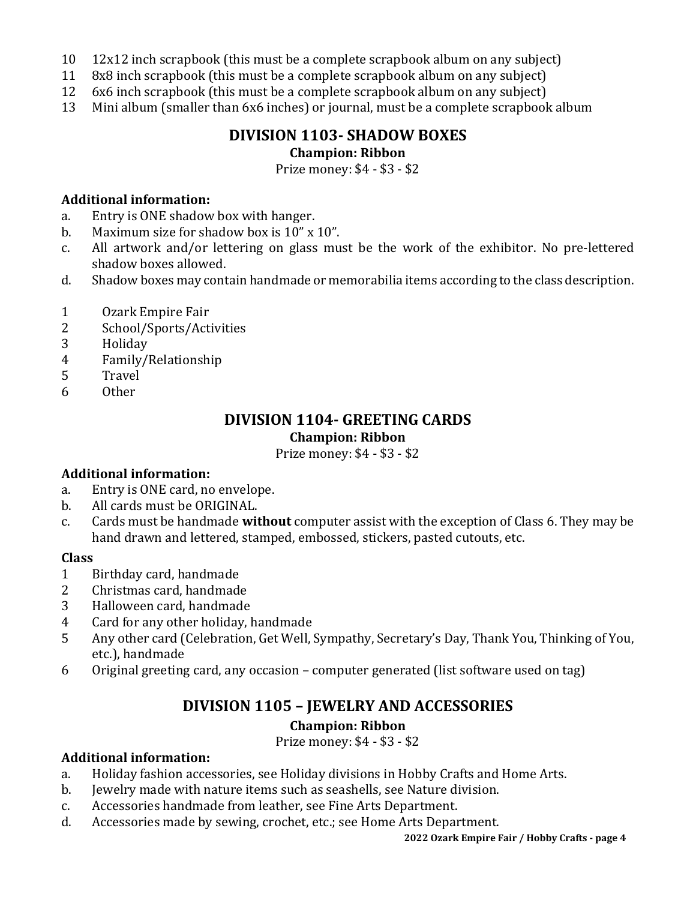- 10 12x12 inch scrapbook (this must be a complete scrapbook album on any subject)
- 11 8x8 inch scrapbook (this must be a complete scrapbook album on any subject)
- 12 6x6 inch scrapbook (this must be a complete scrapbook album on any subject)
- 13 Mini album (smaller than 6x6 inches) or journal, must be a complete scrapbook album

## **DIVISION 1103- SHADOW BOXES Champion: Ribbon**

Prize money: \$4 - \$3 - \$2

#### **Additional information:**

- a. Entry is ONE shadow box with hanger.
- b. Maximum size for shadow box is 10" x 10".
- c. All artwork and/or lettering on glass must be the work of the exhibitor. No pre-lettered shadow boxes allowed.
- d. Shadow boxes may contain handmade or memorabilia items according to the class description.
- 1 Ozark Empire Fair
- 2 School/Sports/Activities
- 3 Holiday
- 4 Family/Relationship
- 5 Travel
- 6 Other

## **DIVISION 1104- GREETING CARDS Champion: Ribbon**

Prize money: \$4 - \$3 - \$2

#### **Additional information:**

- a. Entry is ONE card, no envelope.
- b. All cards must be ORIGINAL.
- c. Cards must be handmade **without** computer assist with the exception of Class 6. They may be hand drawn and lettered, stamped, embossed, stickers, pasted cutouts, etc.

#### **Class**

- 1 Birthday card, handmade
- 2 Christmas card, handmade
- 3 Halloween card, handmade
- 4 Card for any other holiday, handmade
- 5 Any other card (Celebration, Get Well, Sympathy, Secretary's Day, Thank You, Thinking of You, etc.), handmade
- 6 Original greeting card, any occasion computer generated (list software used on tag)

## **DIVISION 1105 – JEWELRY AND ACCESSORIES**

#### **Champion: Ribbon**

Prize money: \$4 - \$3 - \$2

#### **Additional information:**

- a. Holiday fashion accessories, see Holiday divisions in Hobby Crafts and Home Arts.
- b. Jewelry made with nature items such as seashells, see Nature division.
- c. Accessories handmade from leather, see Fine Arts Department.
- d. Accessories made by sewing, crochet, etc.; see Home Arts Department.

**2022 Ozark Empire Fair / Hobby Crafts - page 4**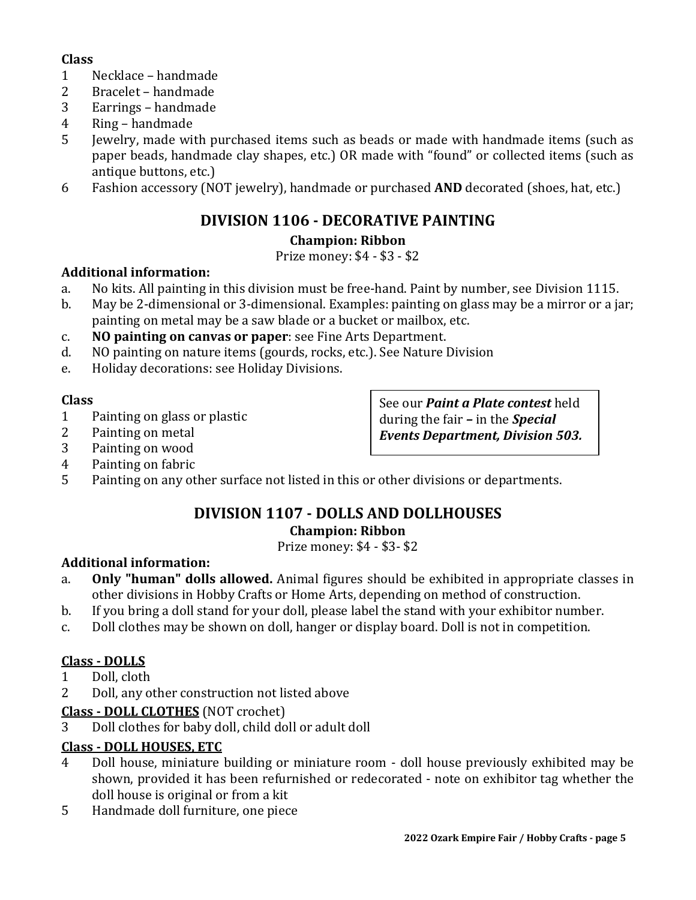#### **Class**

- 1 Necklace handmade
- 2 Bracelet handmade
- 3 Earrings handmade
- 4 Ring handmade
- 5 Jewelry, made with purchased items such as beads or made with handmade items (such as paper beads, handmade clay shapes, etc.) OR made with "found" or collected items (such as antique buttons, etc.)
- 6 Fashion accessory (NOT jewelry), handmade or purchased **AND** decorated (shoes, hat, etc.)

# **DIVISION 1106 - DECORATIVE PAINTING**

# **Champion: Ribbon**

## Prize money: \$4 - \$3 - \$2

## **Additional information:**

- a. No kits. All painting in this division must be free-hand. Paint by number, see Division 1115.
- b. May be 2-dimensional or 3-dimensional. Examples: painting on glass may be a mirror or a jar; painting on metal may be a saw blade or a bucket or mailbox, etc.
- c. **NO painting on canvas or paper**: see Fine Arts Department.
- d. NO painting on nature items (gourds, rocks, etc.). See Nature Division
- e. Holiday decorations: see Holiday Divisions.

## **Class**

- 1 Painting on glass or plastic
- 2 Painting on metal
- 3 Painting on wood
- 4 Painting on fabric
- 5 Painting on any other surface not listed in this or other divisions or departments.

## **DIVISION 1107 - DOLLS AND DOLLHOUSES Champion: Ribbon**

Prize money: \$4 - \$3- \$2

# **Additional information:**

- a. **Only "human" dolls allowed.** Animal figures should be exhibited in appropriate classes in other divisions in Hobby Crafts or Home Arts, depending on method of construction.
- b. If you bring a doll stand for your doll, please label the stand with your exhibitor number.
- c. Doll clothes may be shown on doll, hanger or display board. Doll is not in competition.

# **Class - DOLLS**

- 1 Doll, cloth
- 2 Doll, any other construction not listed above

# **Class - DOLL CLOTHES** (NOT crochet)

3 Doll clothes for baby doll, child doll or adult doll

# **Class - DOLL HOUSES, ETC**

- 4 Doll house, miniature building or miniature room doll house previously exhibited may be shown, provided it has been refurnished or redecorated - note on exhibitor tag whether the doll house is original or from a kit
- 5 Handmade doll furniture, one piece

See our *Paint a Plate contest* held during the fair *–* in the *Special Events Department, Division 503.*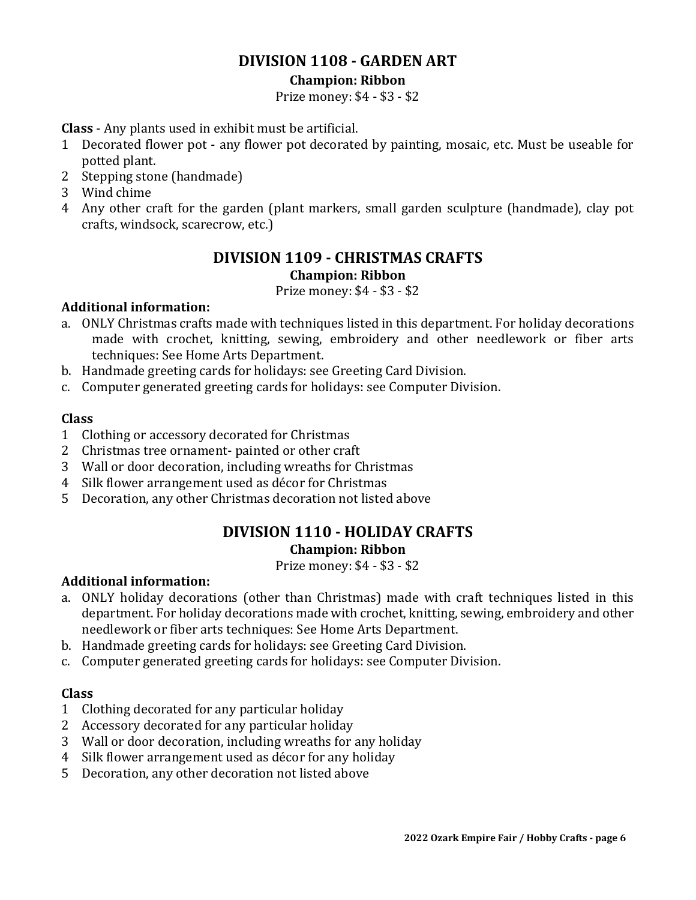## **DIVISION 1108 - GARDEN ART**

#### **Champion: Ribbon**

Prize money: \$4 - \$3 - \$2

**Class** - Any plants used in exhibit must be artificial.

- 1 Decorated flower pot any flower pot decorated by painting, mosaic, etc. Must be useable for potted plant.
- 2 Stepping stone (handmade)
- 3 Wind chime
- 4 Any other craft for the garden (plant markers, small garden sculpture (handmade), clay pot crafts, windsock, scarecrow, etc.)

## **DIVISION 1109 - CHRISTMAS CRAFTS Champion: Ribbon**

Prize money: \$4 - \$3 - \$2

## **Additional information:**

- a. ONLY Christmas crafts made with techniques listed in this department. For holiday decorations made with crochet, knitting, sewing, embroidery and other needlework or fiber arts techniques: See Home Arts Department.
- b. Handmade greeting cards for holidays: see Greeting Card Division.
- c. Computer generated greeting cards for holidays: see Computer Division.

#### **Class**

- 1 Clothing or accessory decorated for Christmas
- 2 Christmas tree ornament- painted or other craft
- 3 Wall or door decoration, including wreaths for Christmas
- 4 Silk flower arrangement used as décor for Christmas
- 5 Decoration, any other Christmas decoration not listed above

## **DIVISION 1110 - HOLIDAY CRAFTS Champion: Ribbon**

Prize money: \$4 - \$3 - \$2

#### **Additional information:**

- a. ONLY holiday decorations (other than Christmas) made with craft techniques listed in this department. For holiday decorations made with crochet, knitting, sewing, embroidery and other needlework or fiber arts techniques: See Home Arts Department.
- b. Handmade greeting cards for holidays: see Greeting Card Division.
- c. Computer generated greeting cards for holidays: see Computer Division.

- 1 Clothing decorated for any particular holiday
- 2 Accessory decorated for any particular holiday
- 3 Wall or door decoration, including wreaths for any holiday
- 4 Silk flower arrangement used as décor for any holiday
- 5 Decoration, any other decoration not listed above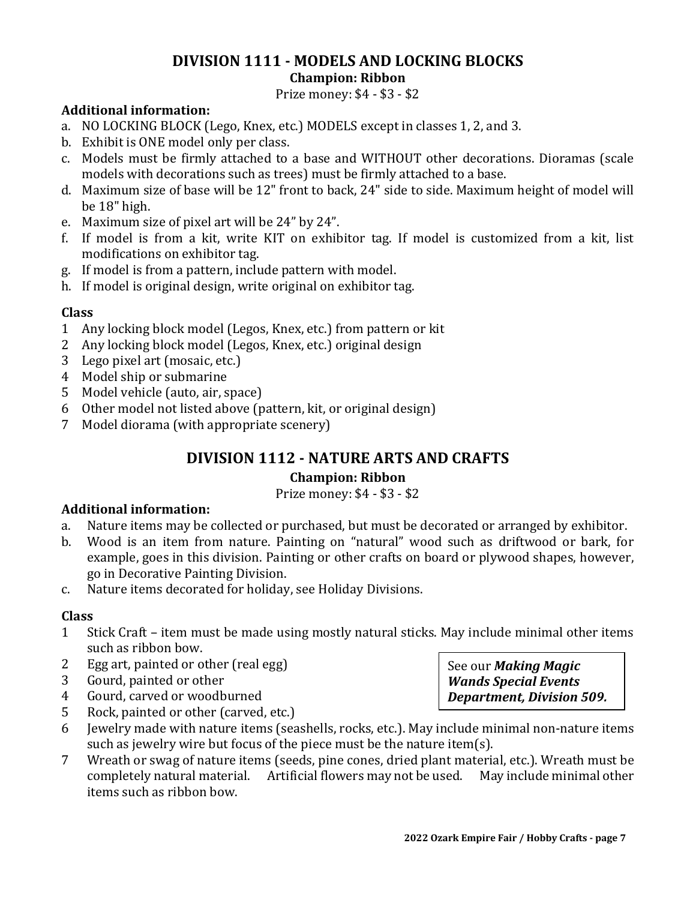#### **DIVISION 1111 - MODELS AND LOCKING BLOCKS Champion: Ribbon**

Prize money: \$4 - \$3 - \$2

#### **Additional information:**

- a. NO LOCKING BLOCK (Lego, Knex, etc.) MODELS except in classes 1, 2, and 3.
- b. Exhibit is ONE model only per class.
- c. Models must be firmly attached to a base and WITHOUT other decorations. Dioramas (scale models with decorations such as trees) must be firmly attached to a base.
- d. Maximum size of base will be 12" front to back, 24" side to side. Maximum height of model will be 18" high.
- e. Maximum size of pixel art will be 24" by 24".
- f. If model is from a kit, write KIT on exhibitor tag. If model is customized from a kit, list modifications on exhibitor tag.
- g. If model is from a pattern, include pattern with model.
- h. If model is original design, write original on exhibitor tag.

#### **Class**

- 1 Any locking block model (Legos, Knex, etc.) from pattern or kit
- 2 Any locking block model (Legos, Knex, etc.) original design
- 3 Lego pixel art (mosaic, etc.)
- 4 Model ship or submarine
- 5 Model vehicle (auto, air, space)
- 6 Other model not listed above (pattern, kit, or original design)
- 7 Model diorama (with appropriate scenery)

# **DIVISION 1112 - NATURE ARTS AND CRAFTS**

#### **Champion: Ribbon**

Prize money: \$4 - \$3 - \$2

#### **Additional information:**

- a. Nature items may be collected or purchased, but must be decorated or arranged by exhibitor.
- b. Wood is an item from nature. Painting on "natural" wood such as driftwood or bark, for example, goes in this division. Painting or other crafts on board or plywood shapes, however, go in Decorative Painting Division.
- c. Nature items decorated for holiday, see Holiday Divisions.

#### **Class**

- 1 Stick Craft item must be made using mostly natural sticks. May include minimal other items such as ribbon bow.
- 2 Egg art, painted or other (real egg)
- 3 Gourd, painted or other
- 4 Gourd, carved or woodburned
- 5 Rock, painted or other (carved, etc.)
- 6 Jewelry made with nature items (seashells, rocks, etc.). May include minimal non-nature items such as jewelry wire but focus of the piece must be the nature item(s).
- 7 Wreath or swag of nature items (seeds, pine cones, dried plant material, etc.). Wreath must be completely natural material. Artificial flowers may not be used. May include minimal other items such as ribbon bow.

See our *Making Magic Wands Special Events Department, Division 509.*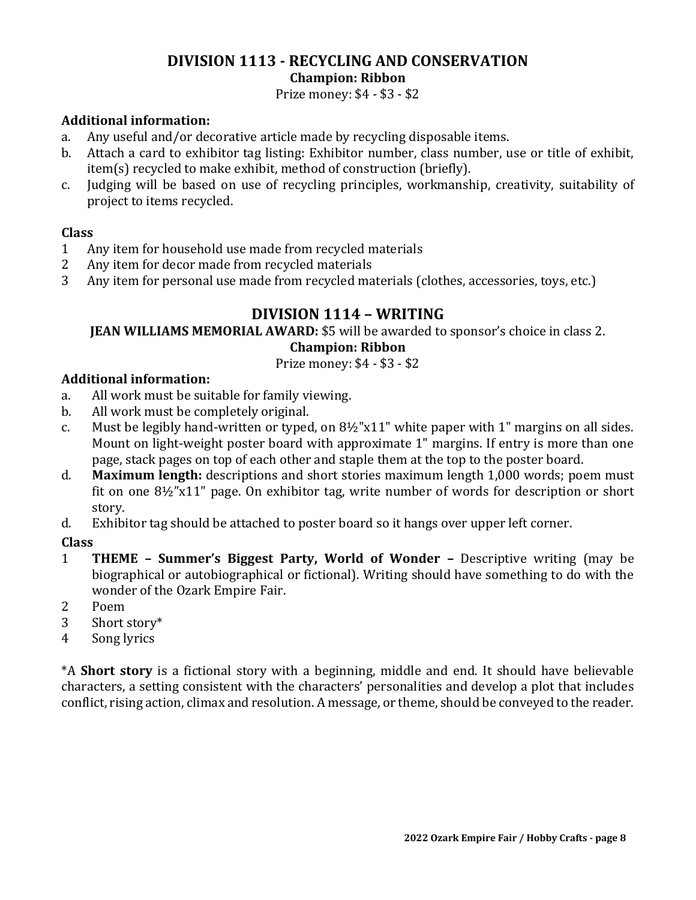#### **DIVISION 1113 - RECYCLING AND CONSERVATION Champion: Ribbon**

Prize money: \$4 - \$3 - \$2

#### **Additional information:**

- a. Any useful and/or decorative article made by recycling disposable items.
- b. Attach a card to exhibitor tag listing: Exhibitor number, class number, use or title of exhibit, item(s) recycled to make exhibit, method of construction (briefly).
- c. Judging will be based on use of recycling principles, workmanship, creativity, suitability of project to items recycled.

#### **Class**

- 1 Any item for household use made from recycled materials
- 2 Any item for decor made from recycled materials
- 3 Any item for personal use made from recycled materials (clothes, accessories, toys, etc.)

## **DIVISION 1114 – WRITING**

#### **JEAN WILLIAMS MEMORIAL AWARD:** \$5 will be awarded to sponsor's choice in class 2. **Champion: Ribbon**

#### Prize money: \$4 - \$3 - \$2

#### **Additional information:**

- a. All work must be suitable for family viewing.
- b. All work must be completely original.
- c. Must be legibly hand-written or typed, on  $8\frac{1}{2}$ "x11" white paper with 1" margins on all sides. Mount on light-weight poster board with approximate 1" margins. If entry is more than one page, stack pages on top of each other and staple them at the top to the poster board.
- d. **Maximum length:** descriptions and short stories maximum length 1,000 words; poem must fit on one 8½"x11" page. On exhibitor tag, write number of words for description or short story.
- d. Exhibitor tag should be attached to poster board so it hangs over upper left corner.

#### **Class**

- 1 **THEME – Summer's Biggest Party, World of Wonder –** Descriptive writing (may be biographical or autobiographical or fictional). Writing should have something to do with the wonder of the Ozark Empire Fair.
- 2 Poem
- 3 Short story\*
- 4 Song lyrics

\*A **Short story** is a fictional story with a beginning, middle and end. It should have believable characters, a setting consistent with the characters' personalities and develop a plot that includes conflict, rising action, climax and resolution. A message, or theme, should be conveyed to the reader.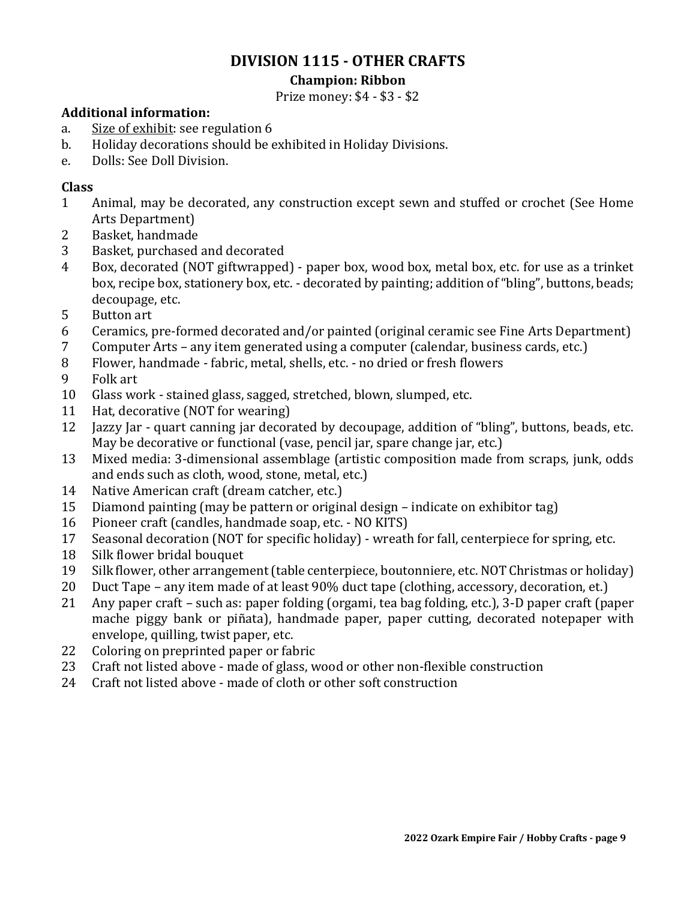## **DIVISION 1115 - OTHER CRAFTS**

#### **Champion: Ribbon**

Prize money: \$4 - \$3 - \$2

#### **Additional information:**

- a. Size of exhibit: see regulation 6
- b. Holiday decorations should be exhibited in Holiday Divisions.
- e. Dolls: See Doll Division.

- Animal, may be decorated, any construction except sewn and stuffed or crochet (See Home Arts Department)
- Basket, handmade
- Basket, purchased and decorated
- Box, decorated (NOT giftwrapped) paper box, wood box, metal box, etc. for use as a trinket box, recipe box, stationery box, etc. - decorated by painting; addition of "bling", buttons, beads; decoupage, etc.
- Button art
- Ceramics, pre-formed decorated and/or painted (original ceramic see Fine Arts Department)
- Computer Arts any item generated using a computer (calendar, business cards, etc.)
- Flower, handmade fabric, metal, shells, etc. no dried or fresh flowers
- Folk art
- Glass work stained glass, sagged, stretched, blown, slumped, etc.
- Hat, decorative (NOT for wearing)
- Jazzy Jar quart canning jar decorated by decoupage, addition of "bling", buttons, beads, etc. May be decorative or functional (vase, pencil jar, spare change jar, etc.)
- Mixed media: 3-dimensional assemblage (artistic composition made from scraps, junk, odds and ends such as cloth, wood, stone, metal, etc.)
- Native American craft (dream catcher, etc.)
- Diamond painting (may be pattern or original design indicate on exhibitor tag)
- Pioneer craft (candles, handmade soap, etc. NO KITS)
- Seasonal decoration (NOT for specific holiday) wreath for fall, centerpiece for spring, etc.
- Silk flower bridal bouquet
- Silk flower, other arrangement (table centerpiece, boutonniere, etc. NOT Christmas or holiday)
- Duct Tape any item made of at least 90% duct tape (clothing, accessory, decoration, et.)
- Any paper craft such as: paper folding (orgami, tea bag folding, etc.), 3-D paper craft (paper mache piggy bank or piñata), handmade paper, paper cutting, decorated notepaper with envelope, quilling, twist paper, etc.
- Coloring on preprinted paper or fabric
- Craft not listed above made of glass, wood or other non-flexible construction
- Craft not listed above made of cloth or other soft construction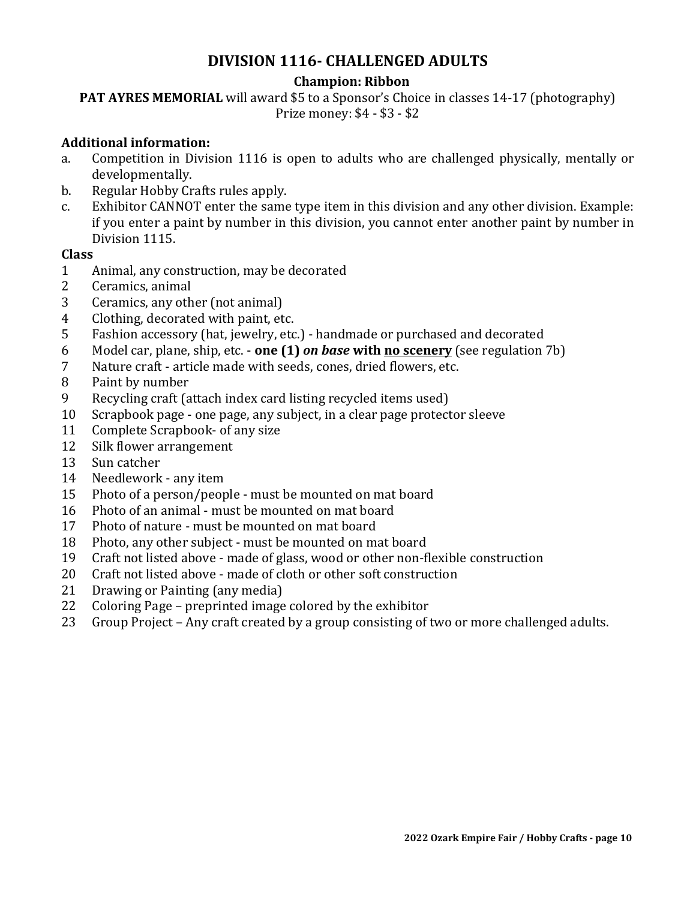## **DIVISION 1116- CHALLENGED ADULTS**

#### **Champion: Ribbon**

**PAT AYRES MEMORIAL** will award \$5 to a Sponsor's Choice in classes 14-17 (photography) Prize money: \$4 - \$3 - \$2

#### **Additional information:**

- a. Competition in Division 1116 is open to adults who are challenged physically, mentally or developmentally.
- b. Regular Hobby Crafts rules apply.
- c. Exhibitor CANNOT enter the same type item in this division and any other division. Example: if you enter a paint by number in this division, you cannot enter another paint by number in Division 1115.

- Animal, any construction, may be decorated
- Ceramics, animal
- Ceramics, any other (not animal)
- Clothing, decorated with paint, etc.
- Fashion accessory (hat, jewelry, etc.) handmade or purchased and decorated
- Model car, plane, ship, etc. **one (1)** *on base* **with no scenery** (see regulation 7b)
- Nature craft article made with seeds, cones, dried flowers, etc.
- Paint by number
- Recycling craft (attach index card listing recycled items used)
- Scrapbook page one page, any subject, in a clear page protector sleeve
- 11 Complete Scrapbook- of any size
- Silk flower arrangement
- Sun catcher
- Needlework any item
- Photo of a person/people must be mounted on mat board
- Photo of an animal must be mounted on mat board
- Photo of nature must be mounted on mat board
- Photo, any other subject must be mounted on mat board
- Craft not listed above made of glass, wood or other non-flexible construction
- Craft not listed above made of cloth or other soft construction
- Drawing or Painting (any media)
- Coloring Page preprinted image colored by the exhibitor
- Group Project Any craft created by a group consisting of two or more challenged adults.